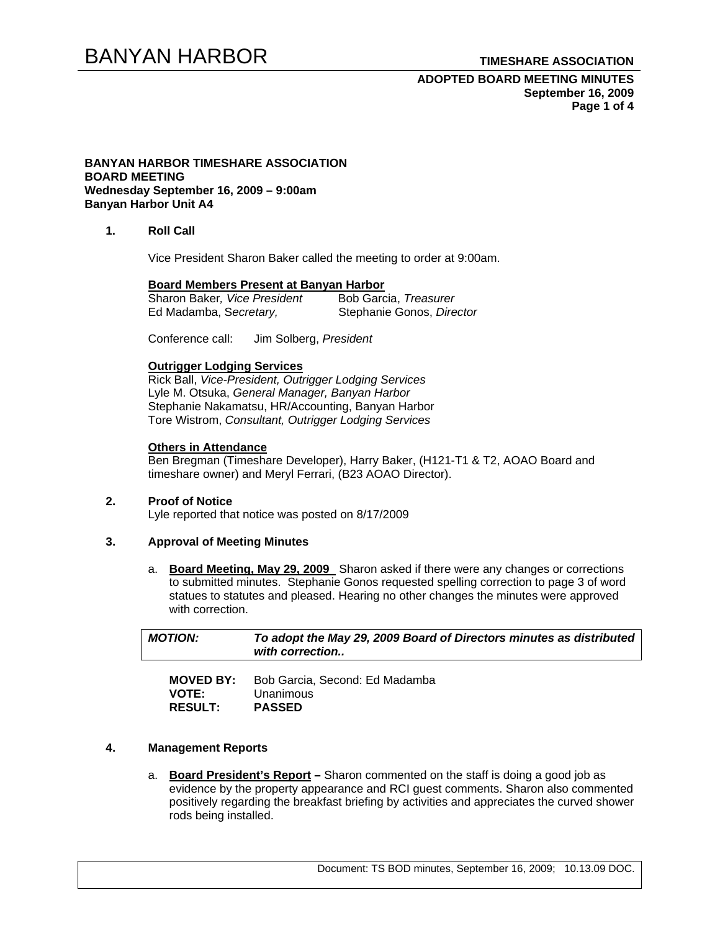# BANYAN HARBOR **TIMESHARE ASSOCIATION**

### **ADOPTED BOARD MEETING MINUTES September 16, 2009 Page 1 of 4**

#### **BANYAN HARBOR TIMESHARE ASSOCIATION BOARD MEETING Wednesday September 16, 2009 – 9:00am Banyan Harbor Unit A4**

#### **1. Roll Call**

Vice President Sharon Baker called the meeting to order at 9:00am.

#### **Board Members Present at Banyan Harbor**

| Sharon Baker, Vice President | Bob Garcia, Treasurer     |
|------------------------------|---------------------------|
| Ed Madamba, Secretary,       | Stephanie Gonos, Director |

Conference call: Jim Solberg, *President* 

#### **Outrigger Lodging Services**

Rick Ball, *Vice-President, Outrigger Lodging Services* Lyle M. Otsuka, *General Manager, Banyan Harbor*  Stephanie Nakamatsu, HR/Accounting, Banyan Harbor Tore Wistrom, *Consultant, Outrigger Lodging Services* 

### **Others in Attendance**

Ben Bregman (Timeshare Developer), Harry Baker, (H121-T1 & T2, AOAO Board and timeshare owner) and Meryl Ferrari, (B23 AOAO Director).

#### **2. Proof of Notice**  Lyle reported that notice was posted on 8/17/2009

#### **3. Approval of Meeting Minutes**

a. **Board Meeting, May 29, 2009** Sharon asked if there were any changes or corrections to submitted minutes. Stephanie Gonos requested spelling correction to page 3 of word statues to statutes and pleased. Hearing no other changes the minutes were approved with correction.

| <b>MOTION:</b>   | To adopt the May 29, 2009 Board of Directors minutes as distributed<br>with correction |  |
|------------------|----------------------------------------------------------------------------------------|--|
| <b>MOVED BY:</b> | Bob Garcia, Second: Ed Madamba                                                         |  |

| <b>VOTE:</b>   | Unanimous     |
|----------------|---------------|
| <b>RESULT:</b> | <b>PASSED</b> |

#### **4. Management Reports**

a. **Board President's Report –** Sharon commented on the staff is doing a good job as evidence by the property appearance and RCI guest comments. Sharon also commented positively regarding the breakfast briefing by activities and appreciates the curved shower rods being installed.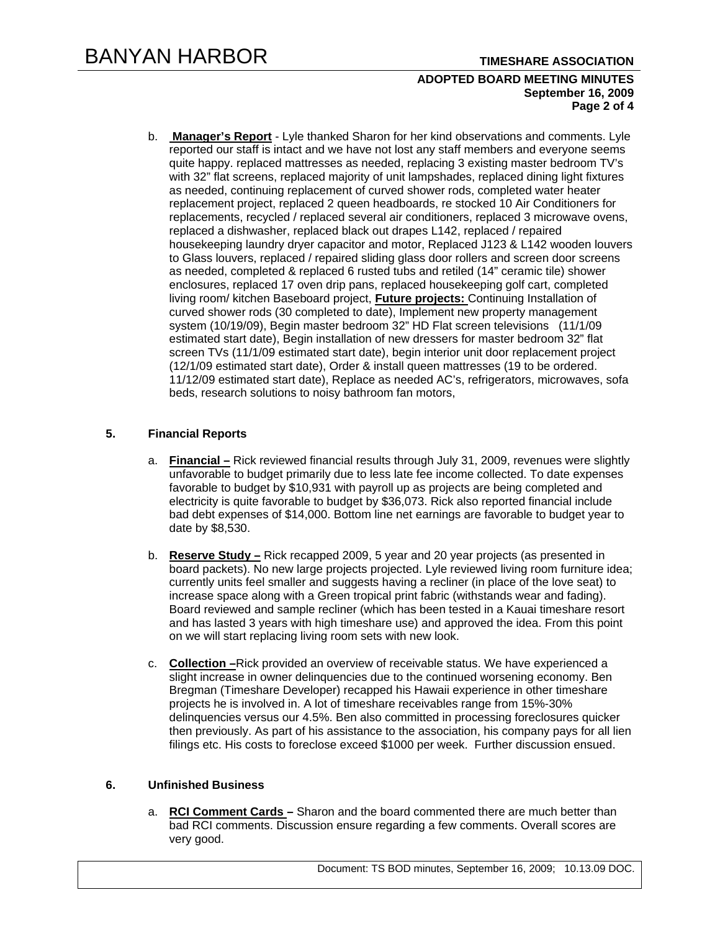### **ADOPTED BOARD MEETING MINUTES September 16, 2009 Page 2 of 4**

b. **Manager's Report** - Lyle thanked Sharon for her kind observations and comments. Lyle reported our staff is intact and we have not lost any staff members and everyone seems quite happy. replaced mattresses as needed, replacing 3 existing master bedroom TV's with 32" flat screens, replaced majority of unit lampshades, replaced dining light fixtures as needed, continuing replacement of curved shower rods, completed water heater replacement project, replaced 2 queen headboards, re stocked 10 Air Conditioners for replacements, recycled / replaced several air conditioners, replaced 3 microwave ovens, replaced a dishwasher, replaced black out drapes L142, replaced / repaired housekeeping laundry dryer capacitor and motor, Replaced J123 & L142 wooden louvers to Glass louvers, replaced / repaired sliding glass door rollers and screen door screens as needed, completed & replaced 6 rusted tubs and retiled (14" ceramic tile) shower enclosures, replaced 17 oven drip pans, replaced housekeeping golf cart, completed living room/ kitchen Baseboard project, **Future projects:** Continuing Installation of curved shower rods (30 completed to date), Implement new property management system (10/19/09), Begin master bedroom 32" HD Flat screen televisions (11/1/09 estimated start date), Begin installation of new dressers for master bedroom 32" flat screen TVs (11/1/09 estimated start date), begin interior unit door replacement project (12/1/09 estimated start date), Order & install queen mattresses (19 to be ordered. 11/12/09 estimated start date), Replace as needed AC's, refrigerators, microwaves, sofa beds, research solutions to noisy bathroom fan motors,

#### **5. Financial Reports**

- a. **Financial –** Rick reviewed financial results through July 31, 2009, revenues were slightly unfavorable to budget primarily due to less late fee income collected. To date expenses favorable to budget by \$10,931 with payroll up as projects are being completed and electricity is quite favorable to budget by \$36,073. Rick also reported financial include bad debt expenses of \$14,000. Bottom line net earnings are favorable to budget year to date by \$8,530.
- b. **Reserve Study –** Rick recapped 2009, 5 year and 20 year projects (as presented in board packets). No new large projects projected. Lyle reviewed living room furniture idea; currently units feel smaller and suggests having a recliner (in place of the love seat) to increase space along with a Green tropical print fabric (withstands wear and fading). Board reviewed and sample recliner (which has been tested in a Kauai timeshare resort and has lasted 3 years with high timeshare use) and approved the idea. From this point on we will start replacing living room sets with new look.
- c. **Collection –**Rick provided an overview of receivable status. We have experienced a slight increase in owner delinquencies due to the continued worsening economy. Ben Bregman (Timeshare Developer) recapped his Hawaii experience in other timeshare projects he is involved in. A lot of timeshare receivables range from 15%-30% delinquencies versus our 4.5%. Ben also committed in processing foreclosures quicker then previously. As part of his assistance to the association, his company pays for all lien filings etc. His costs to foreclose exceed \$1000 per week. Further discussion ensued.

#### **6. Unfinished Business**

a. **RCI Comment Cards –** Sharon and the board commented there are much better than bad RCI comments. Discussion ensure regarding a few comments. Overall scores are very good.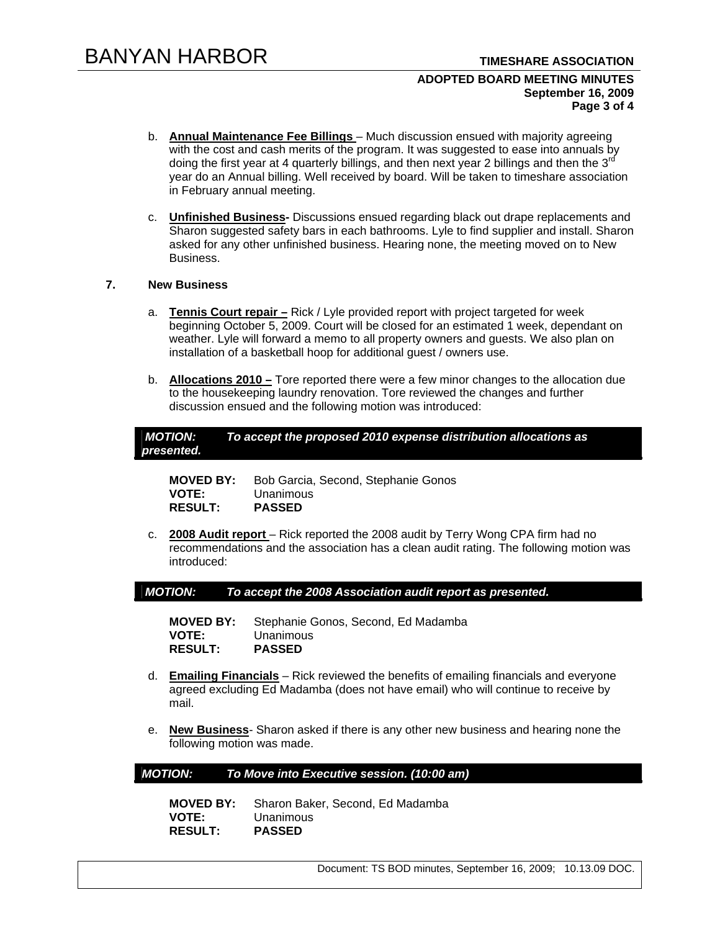#### **ADOPTED BOARD MEETING MINUTES September 16, 2009 Page 3 of 4**

- b. **Annual Maintenance Fee Billings**  Much discussion ensued with majority agreeing with the cost and cash merits of the program. It was suggested to ease into annuals by doing the first year at 4 quarterly billings, and then next year 2 billings and then the 3<sup>rd</sup> year do an Annual billing. Well received by board. Will be taken to timeshare association in February annual meeting.
- c. **Unfinished Business-** Discussions ensued regarding black out drape replacements and Sharon suggested safety bars in each bathrooms. Lyle to find supplier and install. Sharon asked for any other unfinished business. Hearing none, the meeting moved on to New Business.

## **7. New Business**

- a. **Tennis Court repair –** Rick / Lyle provided report with project targeted for week beginning October 5, 2009. Court will be closed for an estimated 1 week, dependant on weather. Lyle will forward a memo to all property owners and guests. We also plan on installation of a basketball hoop for additional guest / owners use.
- b. **Allocations 2010 –** Tore reported there were a few minor changes to the allocation due to the housekeeping laundry renovation. Tore reviewed the changes and further discussion ensued and the following motion was introduced:

| MOTION:    | To accept the proposed 2010 expense distribution allocations as |
|------------|-----------------------------------------------------------------|
| presented. |                                                                 |

**MOVED BY:** Bob Garcia, Second, Stephanie Gonos **VOTE:** Unanimous<br> **RESULT: PASSED RESULT:** 

c. **2008 Audit report** – Rick reported the 2008 audit by Terry Wong CPA firm had no recommendations and the association has a clean audit rating. The following motion was introduced:

*MOTION: To accept the 2008 Association audit report as presented.* 

**MOVED BY:** Stephanie Gonos, Second, Ed Madamba **VOTE:** Unanimous **RESULT: PASSED** 

- d. **Emailing Financials** Rick reviewed the benefits of emailing financials and everyone agreed excluding Ed Madamba (does not have email) who will continue to receive by mail.
- e. **New Business** Sharon asked if there is any other new business and hearing none the following motion was made.

#### *MOTION: To Move into Executive session. (10:00 am)*

**MOVED BY:** Sharon Baker, Second, Ed Madamba **VOTE:** Unanimous  $RESULT:$